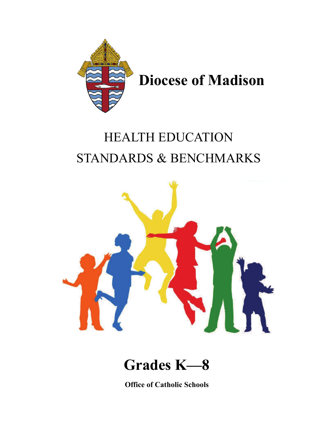

## HEALTH EDUCATION STANDARDS & BENCHMARKS



## **Grades K—8**

**Office of Catholic Schools**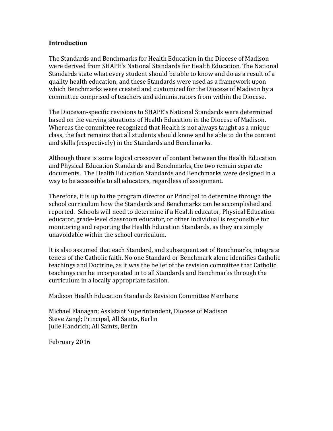## **Introduction**

The Standards and Benchmarks for Health Education in the Diocese of Madison were derived from SHAPE's National Standards for Health Education. The National Standards state what every student should be able to know and do as a result of a quality health education, and these Standards were used as a framework upon which Benchmarks were created and customized for the Diocese of Madison by a committee comprised of teachers and administrators from within the Diocese.

The Diocesan-specific revisions to SHAPE's National Standards were determined based on the varying situations of Health Education in the Diocese of Madison. Whereas the committee recognized that Health is not always taught as a unique class, the fact remains that all students should know and be able to do the content and skills (respectively) in the Standards and Benchmarks.

Although there is some logical crossover of content between the Health Education and Physical Education Standards and Benchmarks, the two remain separate documents. The Health Education Standards and Benchmarks were designed in a way to be accessible to all educators, regardless of assignment.

Therefore, it is up to the program director or Principal to determine through the school curriculum how the Standards and Benchmarks can be accomplished and reported. Schools will need to determine if a Health educator, Physical Education educator, grade-level classroom educator, or other individual is responsible for monitoring and reporting the Health Education Standards, as they are simply unavoidable within the school curriculum.

It is also assumed that each Standard, and subsequent set of Benchmarks, integrate tenets of the Catholic faith. No one Standard or Benchmark alone identifies Catholic teachings and Doctrine, as it was the belief of the revision committee that Catholic teachings can be incorporated in to all Standards and Benchmarks through the curriculum in a locally appropriate fashion.

Madison Health Education Standards Revision Committee Members:

Michael Flanagan; Assistant Superintendent, Diocese of Madison Steve Zangl; Principal, All Saints, Berlin Julie Handrich; All Saints, Berlin

February 2016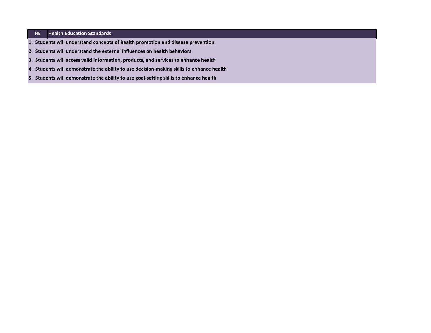## **HE Health Education Standards**

- **1. Students will understand concepts of health promotion and disease prevention**
- **2. Students will understand the external influences on health behaviors**
- **3. Students will access valid information, products, and services to enhance health**
- **4. Students will demonstrate the ability to use decision-making skills to enhance health**
- **5. Students will demonstrate the ability to use goal-setting skills to enhance health**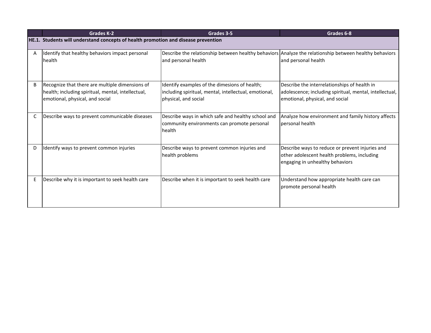|   | <b>Grades K-2</b>                                                                                                                        | Grades 3-5                                                                                                                     | Grades 6-8                                                                                                                                 |
|---|------------------------------------------------------------------------------------------------------------------------------------------|--------------------------------------------------------------------------------------------------------------------------------|--------------------------------------------------------------------------------------------------------------------------------------------|
|   | HE.1. Students will understand concepts of health promotion and disease prevention                                                       |                                                                                                                                |                                                                                                                                            |
| A | Identify that healthy behaviors impact personal<br>health                                                                                | Describe the relationship between healthy behaviors Analyze the relationship between healthy behaviors<br>and personal health  | and personal health                                                                                                                        |
|   | Recognize that there are multiple dimensions of<br>health; including spiritual, mental, intellectual,<br>emotional, physical, and social | Identify examples of the dimesions of health;<br>including spiritual, mental, intellectual, emotional,<br>physical, and social | Describe the interrelationships of health in<br>adolescence; including spiritual, mental, intellectual,<br>emotional, physical, and social |
| C | Describe ways to prevent communicable diseases                                                                                           | Describe ways in which safe and healthy school and<br>community environments can promote personal<br>health                    | Analyze how environment and family history affects<br>personal health                                                                      |
| D | Identify ways to prevent common injuries                                                                                                 | Describe ways to prevent common injuries and<br>health problems                                                                | Describe ways to reduce or prevent injuries and<br>other adolescent health problems, including<br>engaging in unhealthy behaviors          |
| Е | Describe why it is important to seek health care                                                                                         | Describe when it is important to seek health care                                                                              | Understand how appropriate health care can<br>promote personal health                                                                      |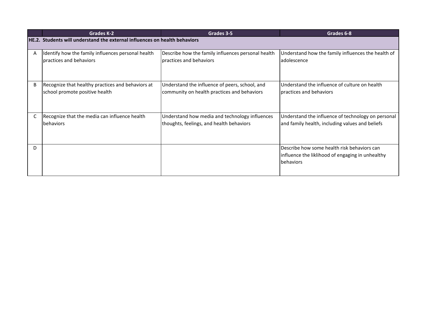|   | <b>Grades K-2</b>                                                          | Grades 3-5                                         | Grades 6-8                                                                                                   |  |
|---|----------------------------------------------------------------------------|----------------------------------------------------|--------------------------------------------------------------------------------------------------------------|--|
|   | HE.2. Students will understand the external influences on health behaviors |                                                    |                                                                                                              |  |
| A | Identify how the family influences personal health                         | Describe how the family influences personal health | Understand how the family influences the health of                                                           |  |
|   | practices and behaviors                                                    | practices and behaviors                            | ladolescence                                                                                                 |  |
| B | Recognize that healthy practices and behaviors at                          | Understand the influence of peers, school, and     | Understand the influence of culture on health                                                                |  |
|   | school promote positive health                                             | community on health practices and behaviors        | Ipractices and behaviors                                                                                     |  |
| C | Recognize that the media can influence health                              | Understand how media and technology influences     | Understand the influence of technology on personal                                                           |  |
|   | behaviors                                                                  | thoughts, feelings, and health behaviors           | and family health, including values and beliefs                                                              |  |
| D |                                                                            |                                                    | Describe how some health risk behaviors can<br>influence the liklihood of engaging in unhealthy<br>behaviors |  |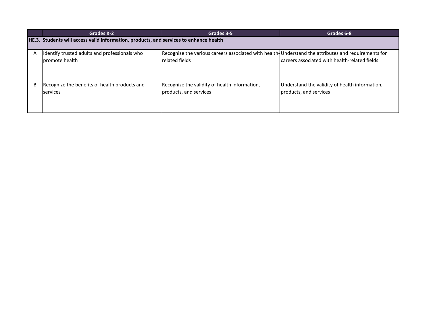|   | Grades K-2                                                                             | Grades 3-5                                                                                          | Grades 6-8                                     |
|---|----------------------------------------------------------------------------------------|-----------------------------------------------------------------------------------------------------|------------------------------------------------|
|   | HE.3. Students will access valid information, products, and services to enhance health |                                                                                                     |                                                |
|   |                                                                                        |                                                                                                     |                                                |
| Α | Identify trusted adults and professionals who                                          | Recognize the various careers associated with health-Understand the attributes and requirements for |                                                |
|   | promote health                                                                         | related fields                                                                                      | careers associated with health-related fields  |
|   |                                                                                        |                                                                                                     |                                                |
|   |                                                                                        |                                                                                                     |                                                |
|   |                                                                                        |                                                                                                     |                                                |
| B | Recognize the benefits of health products and                                          | Recognize the validity of health information,                                                       | Understand the validity of health information, |
|   | services                                                                               | products, and services                                                                              | products, and services                         |
|   |                                                                                        |                                                                                                     |                                                |
|   |                                                                                        |                                                                                                     |                                                |
|   |                                                                                        |                                                                                                     |                                                |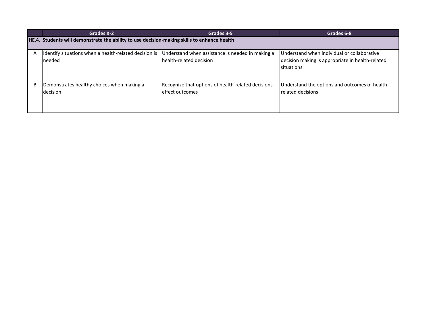|   | Grades K-2                                                                                  | Grades 3-5                                                                   | Grades 6-8                                                                                                    |
|---|---------------------------------------------------------------------------------------------|------------------------------------------------------------------------------|---------------------------------------------------------------------------------------------------------------|
|   | HE.4. Students will demonstrate the ability to use decision-making skills to enhance health |                                                                              |                                                                                                               |
| A | Identify situations when a health-related decision is<br>needed                             | Understand when assistance is needed in making a<br>Ihealth-related decision | Understand when individual or collaborative<br>decision making is appropriate in health-related<br>situations |
| B | Demonstrates healthy choices when making a<br>decision                                      | Recognize that options of health-related decisions<br>effect outcomes        | Understand the options and outcomes of health-<br>related decisions                                           |